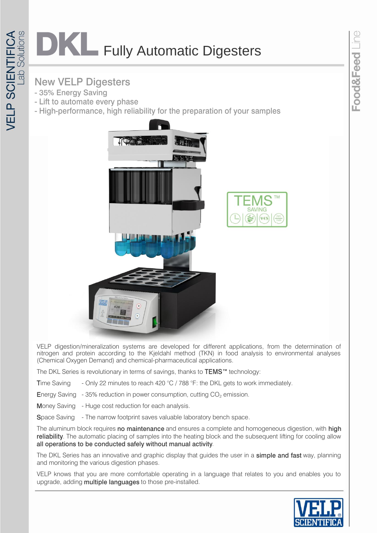## **DKL** Fully Automatic Digesters

## **New VELP Digesters**

- 35% Energy Saving
- Lift to automate every phase
- High-performance, high reliability for the preparation of your samples



VELP digestion/mineralization systems are developed for different applications, from the determination of nitrogen and protein according to the Kjeldahl method (TKN) in food analysis to environmental analyses (Chemical Oxygen Demand) and chemical-pharmaceutical applications.

The DKL Series is revolutionary in terms of savings, thanks to TEMS™ technology:

Time Saving - Only 22 minutes to reach 420  $^{\circ}$ C / 788  $^{\circ}$ F: the DKL gets to work immediately.

- Energy Saving 35% reduction in power consumption, cutting CO<sub>2</sub> emission.
- Money Saving Huge cost reduction for each analysis.
- Space Saving The narrow footprint saves valuable laboratory bench space.

The aluminum block requires no maintenance and ensures a complete and homogeneous digestion, with high reliability. The automatic placing of samples into the heating block and the subsequent lifting for cooling allow all operations to be conducted safely without manual activity.

The DKL Series has an innovative and graphic display that guides the user in a simple and fast way, planning and monitoring the various digestion phases.

VELP knows that you are more comfortable operating in a language that relates to you and enables you to upgrade, adding multiple languages to those pre-installed.